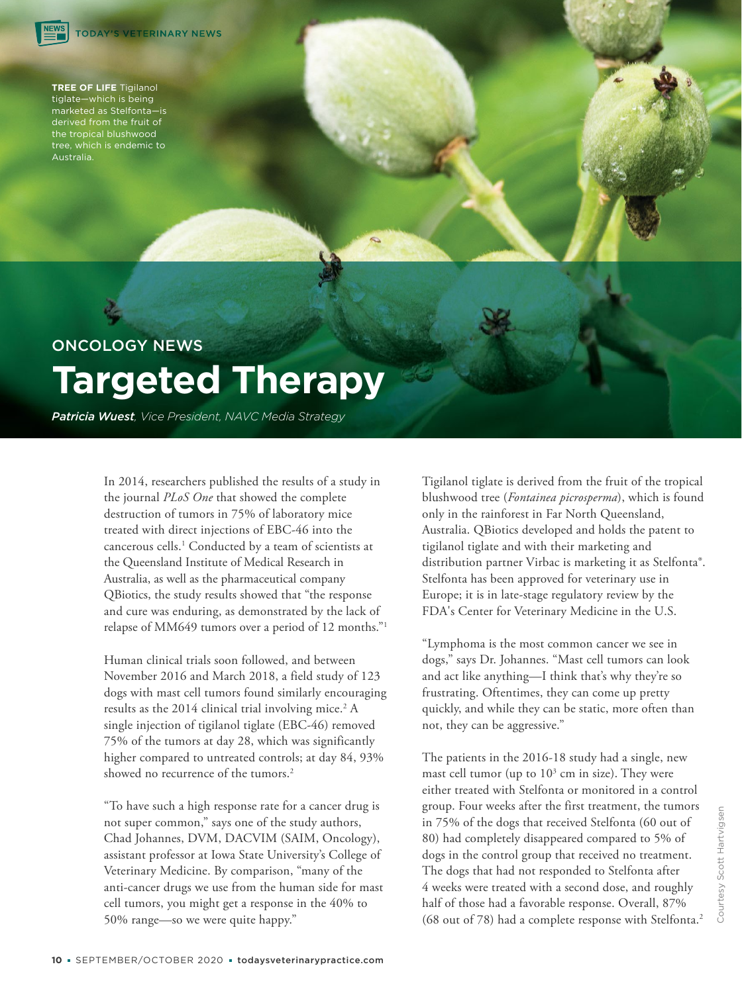**TREE OF LIFE** Tigilanol tiglate—which is being marketed as Stelfonta—is derived from the fruit of the tropical blushwood tree, which is endemic to Australia.

# ONCOLOGY NEWS **Targeted Therapy**

*Patricia Wuest, Vice President, NAVC Media Strategy*

In 2014, researchers published the results of a study in the journal *PLoS One* that showed the complete destruction of tumors in 75% of laboratory mice treated with direct injections of EBC-46 into the cancerous cells.<sup>1</sup> Conducted by a team of scientists at the Queensland Institute of Medical Research in Australia, as well as the pharmaceutical company QBiotics, the study results showed that "the response and cure was enduring, as demonstrated by the lack of relapse of MM649 tumors over a period of 12 months."<sup>1</sup>

Human clinical trials soon followed, and between November 2016 and March 2018, a field study of 123 dogs with mast cell tumors found similarly encouraging results as the 2014 clinical trial involving mice.<sup>2</sup> A single injection of tigilanol tiglate (EBC-46) removed 75% of the tumors at day 28, which was significantly higher compared to untreated controls; at day 84, 93% showed no recurrence of the tumors.<sup>2</sup>

"To have such a high response rate for a cancer drug is not super common," says one of the study authors, Chad Johannes, DVM, DACVIM (SAIM, Oncology), assistant professor at Iowa State University's College of Veterinary Medicine. By comparison, "many of the anti-cancer drugs we use from the human side for mast cell tumors, you might get a response in the 40% to 50% range—so we were quite happy."

Tigilanol tiglate is derived from the fruit of the tropical blushwood tree (*Fontainea picrosperma*), which is found only in the rainforest in Far North Queensland, Australia. QBiotics developed and holds the patent to tigilanol tiglate and with their marketing and distribution partner Virbac is marketing it as Stelfonta®. Stelfonta has been approved for veterinary use in Europe; it is in late-stage regulatory review by the FDA's Center for Veterinary Medicine in the U.S.

"Lymphoma is the most common cancer we see in dogs," says Dr. Johannes. "Mast cell tumors can look and act like anything—I think that's why they're so frustrating. Oftentimes, they can come up pretty quickly, and while they can be static, more often than not, they can be aggressive."

The patients in the 2016-18 study had a single, new mast cell tumor (up to  $10<sup>3</sup>$  cm in size). They were either treated with Stelfonta or monitored in a control group. Four weeks after the first treatment, the tumors in 75% of the dogs that received Stelfonta (60 out of 80) had completely disappeared compared to 5% of dogs in the control group that received no treatment. The dogs that had not responded to Stelfonta after 4 weeks were treated with a second dose, and roughly half of those had a favorable response. Overall, 87% (68 out of 78) had a complete response with Stelfonta.<sup>2</sup>